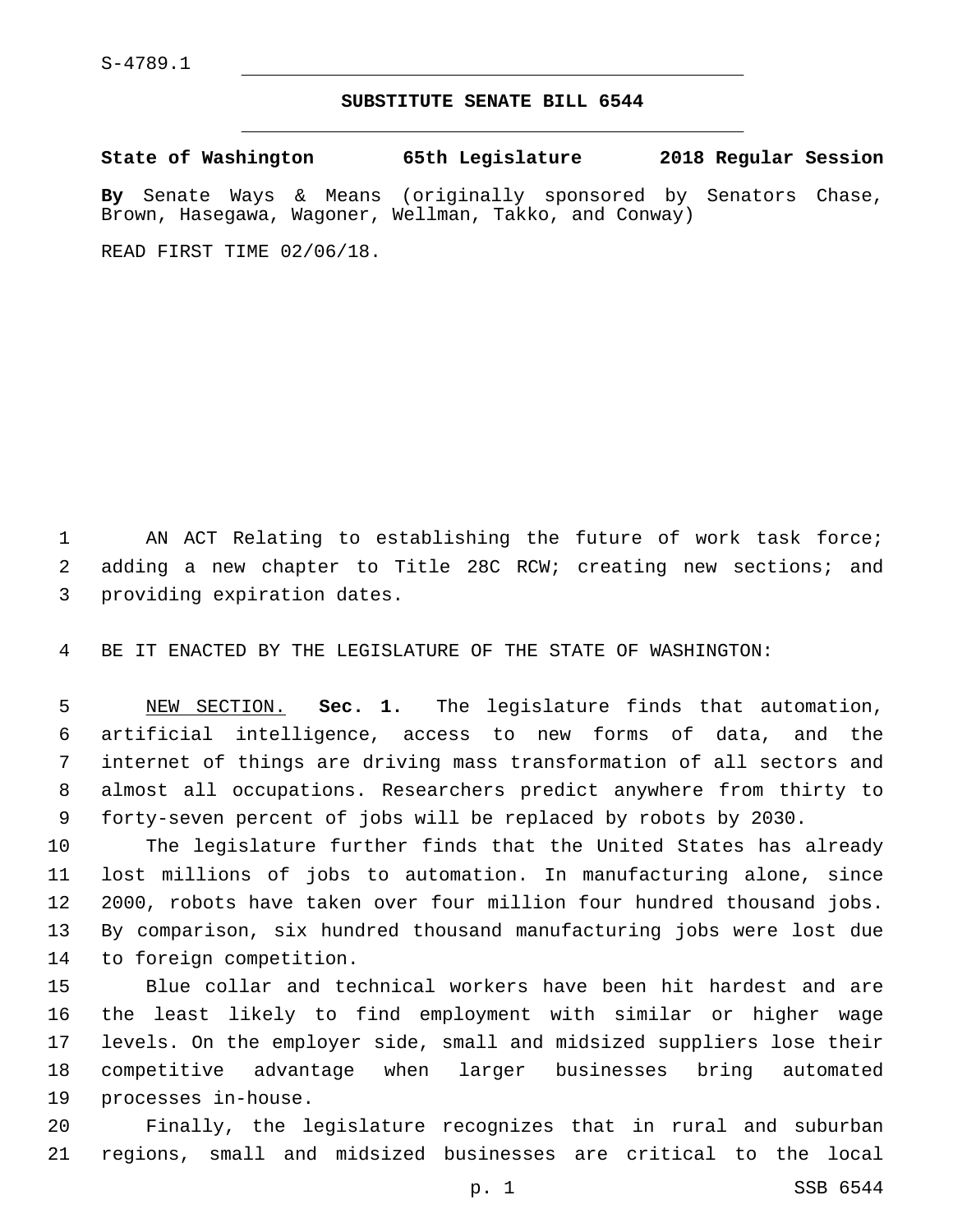## **SUBSTITUTE SENATE BILL 6544**

**State of Washington 65th Legislature 2018 Regular Session By** Senate Ways & Means (originally sponsored by Senators Chase, Brown, Hasegawa, Wagoner, Wellman, Takko, and Conway)

READ FIRST TIME 02/06/18.

1 AN ACT Relating to establishing the future of work task force; adding a new chapter to Title 28C RCW; creating new sections; and 3 providing expiration dates.

BE IT ENACTED BY THE LEGISLATURE OF THE STATE OF WASHINGTON:

 NEW SECTION. **Sec. 1.** The legislature finds that automation, artificial intelligence, access to new forms of data, and the internet of things are driving mass transformation of all sectors and almost all occupations. Researchers predict anywhere from thirty to forty-seven percent of jobs will be replaced by robots by 2030.

 The legislature further finds that the United States has already lost millions of jobs to automation. In manufacturing alone, since 2000, robots have taken over four million four hundred thousand jobs. By comparison, six hundred thousand manufacturing jobs were lost due 14 to foreign competition.

 Blue collar and technical workers have been hit hardest and are the least likely to find employment with similar or higher wage levels. On the employer side, small and midsized suppliers lose their competitive advantage when larger businesses bring automated 19 processes in-house.

 Finally, the legislature recognizes that in rural and suburban regions, small and midsized businesses are critical to the local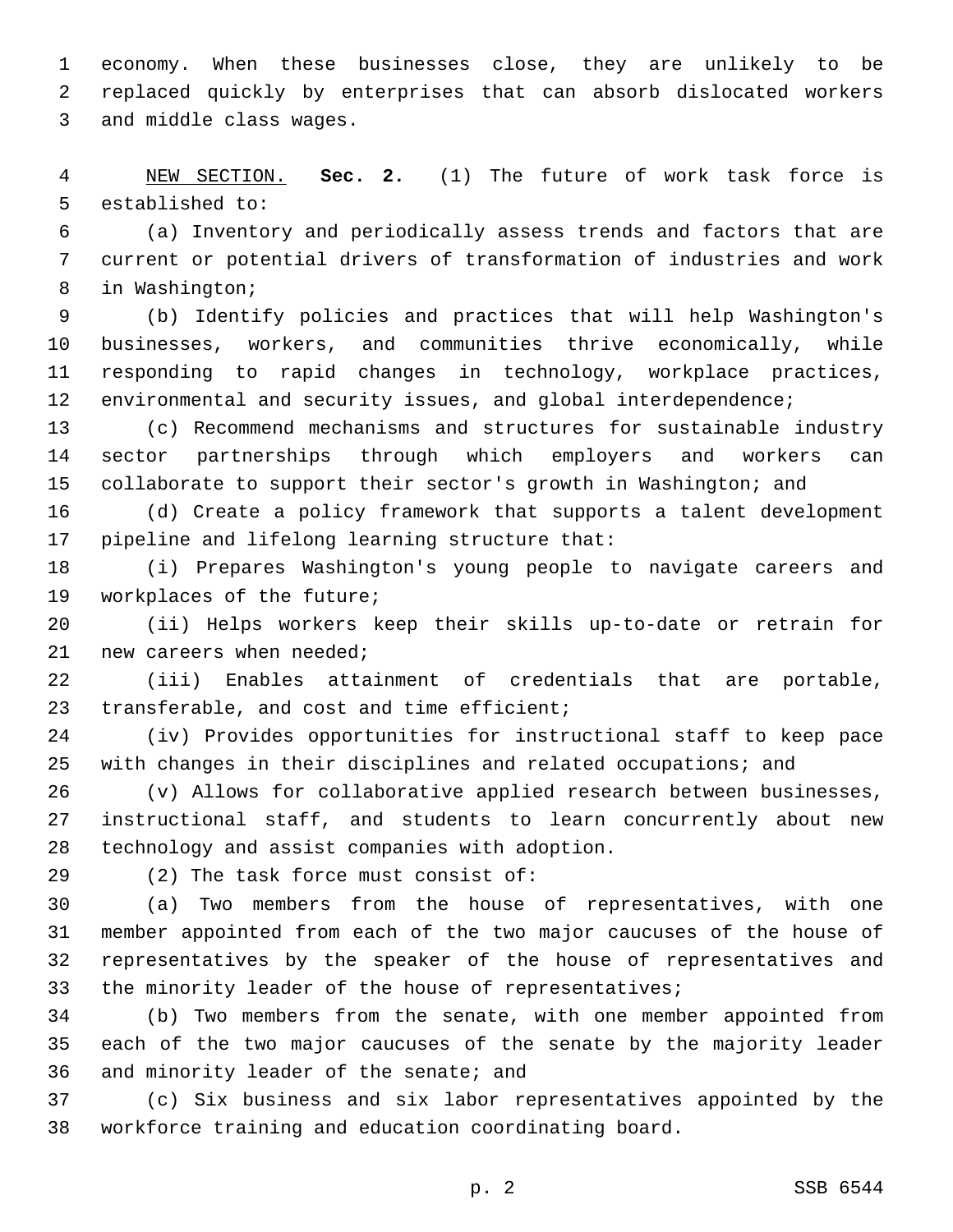economy. When these businesses close, they are unlikely to be replaced quickly by enterprises that can absorb dislocated workers 3 and middle class wages.

 NEW SECTION. **Sec. 2.** (1) The future of work task force is established to:

 (a) Inventory and periodically assess trends and factors that are current or potential drivers of transformation of industries and work 8 in Washington;

 (b) Identify policies and practices that will help Washington's businesses, workers, and communities thrive economically, while responding to rapid changes in technology, workplace practices, 12 environmental and security issues, and global interdependence;

 (c) Recommend mechanisms and structures for sustainable industry sector partnerships through which employers and workers can 15 collaborate to support their sector's growth in Washington; and

 (d) Create a policy framework that supports a talent development 17 pipeline and lifelong learning structure that:

 (i) Prepares Washington's young people to navigate careers and 19 workplaces of the future;

 (ii) Helps workers keep their skills up-to-date or retrain for new careers when needed;

 (iii) Enables attainment of credentials that are portable, 23 transferable, and cost and time efficient;

 (iv) Provides opportunities for instructional staff to keep pace with changes in their disciplines and related occupations; and

 (v) Allows for collaborative applied research between businesses, instructional staff, and students to learn concurrently about new 28 technology and assist companies with adoption.

29 (2) The task force must consist of:

 (a) Two members from the house of representatives, with one member appointed from each of the two major caucuses of the house of representatives by the speaker of the house of representatives and 33 the minority leader of the house of representatives;

 (b) Two members from the senate, with one member appointed from each of the two major caucuses of the senate by the majority leader 36 and minority leader of the senate; and

 (c) Six business and six labor representatives appointed by the workforce training and education coordinating board.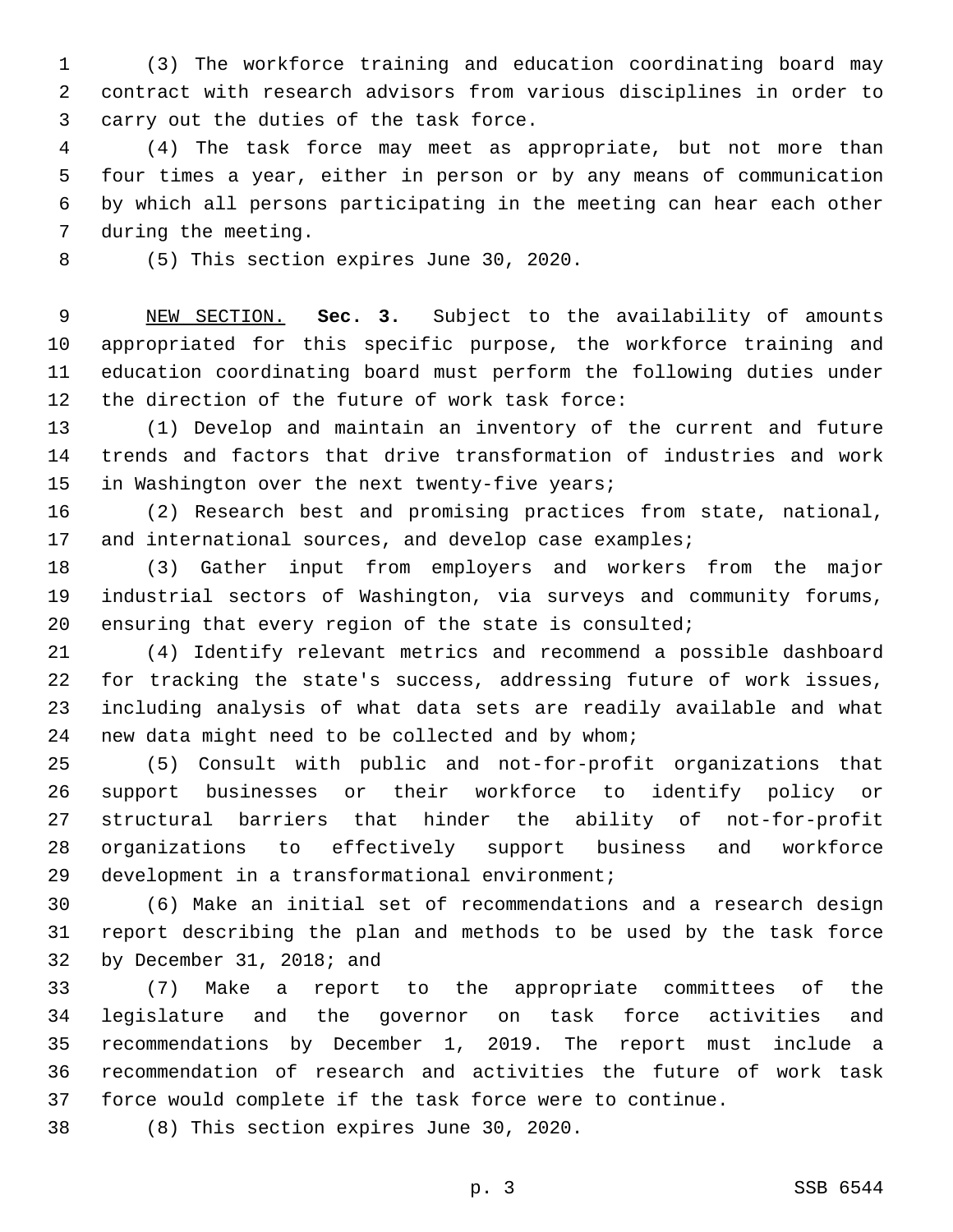(3) The workforce training and education coordinating board may contract with research advisors from various disciplines in order to 3 carry out the duties of the task force.

 (4) The task force may meet as appropriate, but not more than four times a year, either in person or by any means of communication by which all persons participating in the meeting can hear each other 7 during the meeting.

8 (5) This section expires June 30, 2020.

 NEW SECTION. **Sec. 3.** Subject to the availability of amounts appropriated for this specific purpose, the workforce training and education coordinating board must perform the following duties under the direction of the future of work task force:

 (1) Develop and maintain an inventory of the current and future trends and factors that drive transformation of industries and work 15 in Washington over the next twenty-five years;

 (2) Research best and promising practices from state, national, 17 and international sources, and develop case examples;

 (3) Gather input from employers and workers from the major industrial sectors of Washington, via surveys and community forums, 20 ensuring that every region of the state is consulted;

 (4) Identify relevant metrics and recommend a possible dashboard for tracking the state's success, addressing future of work issues, including analysis of what data sets are readily available and what 24 new data might need to be collected and by whom;

 (5) Consult with public and not-for-profit organizations that support businesses or their workforce to identify policy or structural barriers that hinder the ability of not-for-profit organizations to effectively support business and workforce 29 development in a transformational environment;

 (6) Make an initial set of recommendations and a research design report describing the plan and methods to be used by the task force 32 by December 31, 2018; and

 (7) Make a report to the appropriate committees of the legislature and the governor on task force activities and recommendations by December 1, 2019. The report must include a recommendation of research and activities the future of work task force would complete if the task force were to continue.

38 (8) This section expires June 30, 2020.